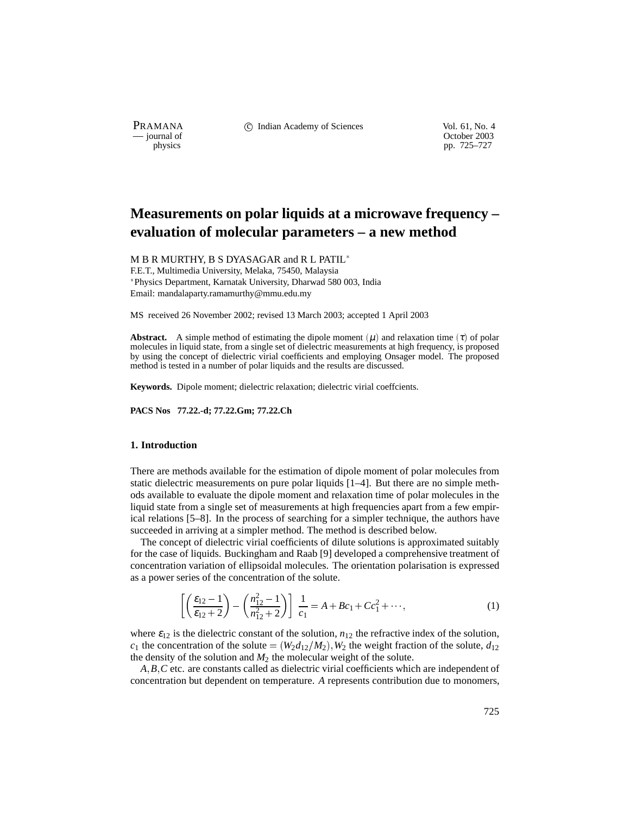PRAMANA <sup>comp</sup> computed contained in the Indian Academy of Sciences Vol. 61, No. 4<br>
computed vol. 61, No. 4<br>
computed vol. 61, No. 4

physics<br>
physics<br>
pp. 725–727<br>
pp. 725–727 pp. 725–727

# **Measurements on polar liquids at a microwave frequency – evaluation of molecular parameters – a new method**

M B R MURTHY, B S DYASAGAR and R L PATIL

F.E.T., Multimedia University, Melaka, 75450, Malaysia Physics Department, Karnatak University, Dharwad 580 003, India Email: mandalaparty.ramamurthy@mmu.edu.my

MS received 26 November 2002; revised 13 March 2003; accepted 1 April 2003

**Abstract.** A simple method of estimating the dipole moment  $(\mu)$  and relaxation time  $(\tau)$  of polar molecules in liquid state, from a single set of dielectric measurements at high frequency, is proposed by using the concept of dielectric virial coefficients and employing Onsager model. The proposed method is tested in a number of polar liquids and the results are discussed.

**Keywords.** Dipole moment; dielectric relaxation; dielectric virial coeffcients.

**PACS Nos 77.22.-d; 77.22.Gm; 77.22.Ch**

## **1. Introduction**

There are methods available for the estimation of dipole moment of polar molecules from static dielectric measurements on pure polar liquids [1–4]. But there are no simple methods available to evaluate the dipole moment and relaxation time of polar molecules in the liquid state from a single set of measurements at high frequencies apart from a few empirical relations [5–8]. In the process of searching for a simpler technique, the authors have succeeded in arriving at a simpler method. The method is described below.

The concept of dielectric virial coefficients of dilute solutions is approximated suitably for the case of liquids. Buckingham and Raab [9] developed a comprehensive treatment of concentration variation of ellipsoidal molecules. The orientation polarisation is expressed as a power series of the concentration of the solute.

$$
\left[ \left( \frac{\varepsilon_{12} - 1}{\varepsilon_{12} + 2} \right) - \left( \frac{n_{12}^2 - 1}{n_{12}^2 + 2} \right) \right] \frac{1}{c_1} = A + Bc_1 + Cc_1^2 + \cdots,
$$
\n(1)

where  $\varepsilon_{12}$  is the dielectric constant of the solution,  $n_{12}$  the refractive index of the solution,  $c_1$  the concentration of the solute =  $(W_2d_{12}/M_2), W_2$  the weight fraction of the solute,  $d_{12}$ the density of the solution and  $M_2$  the molecular weight of the solute.

*A B C* etc. are constants called as dielectric virial coefficients which are independent of concentration but dependent on temperature. *A* represents contribution due to monomers,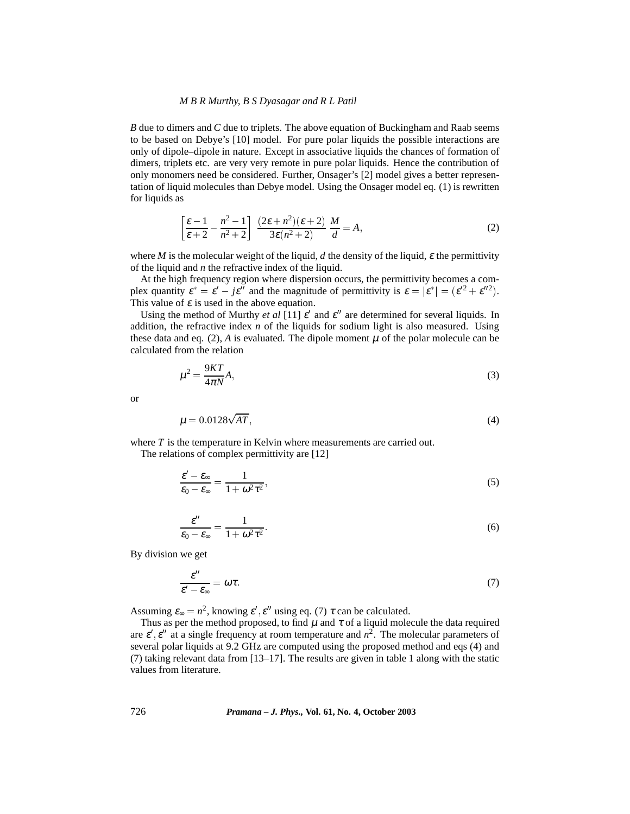### *M B R Murthy, B S Dyasagar and R L Patil*

*B* due to dimers and *C* due to triplets. The above equation of Buckingham and Raab seems to be based on Debye's [10] model. For pure polar liquids the possible interactions are only of dipole–dipole in nature. Except in associative liquids the chances of formation of dimers, triplets etc. are very very remote in pure polar liquids. Hence the contribution of only monomers need be considered. Further, Onsager's [2] model gives a better representation of liquid molecules than Debye model. Using the Onsager model eq. (1) is rewritten for liquids as

$$
\left[\frac{\varepsilon-1}{\varepsilon+2} - \frac{n^2-1}{n^2+2}\right] \frac{(2\varepsilon+n^2)(\varepsilon+2)}{3\varepsilon(n^2+2)} \frac{M}{d} = A,\tag{2}
$$

where *M* is the molecular weight of the liquid, *d* the density of the liquid,  $\varepsilon$  the permittivity of the liquid and *n* the refractive index of the liquid.

At the high frequency region where dispersion occurs, the permittivity becomes a complex quantity  $\varepsilon^* = \varepsilon' - j\varepsilon''$  and the magnitude of permittivity is  $\varepsilon = |\varepsilon^*| = (\varepsilon'^2 + \varepsilon''^2)$ . This value of  $\varepsilon$  is used in the above equation.

Using the method of Murthy *et al* [11]  $\varepsilon'$  and  $\varepsilon''$  are determined for several liquids. In addition, the refractive index *n* of the liquids for sodium light is also measured. Using these data and eq.  $(2)$ , *A* is evaluated. The dipole moment  $\mu$  of the polar molecule can be calculated from the relation

$$
\mu^2 = \frac{9KT}{4\pi N}A,\tag{3}
$$

or

$$
\mu = 0.0128\sqrt{AT},\tag{4}
$$

where *T* is the temperature in Kelvin where measurements are carried out. The relations of complex permittivity are [12]

$$
\frac{\varepsilon'-\varepsilon_{\infty}}{\varepsilon_0-\varepsilon_{\infty}}=\frac{1}{1+\omega^2\tau^2},\tag{5}
$$

$$
\frac{\varepsilon''}{\varepsilon_0 - \varepsilon_\infty} = \frac{1}{1 + \omega^2 \tau^2}.
$$
\n(6)

By division we get

$$
\frac{\varepsilon^{\prime\prime}}{\varepsilon^{\prime} - \varepsilon_{\infty}} = \omega \tau. \tag{7}
$$

Assuming  $\varepsilon_{\infty} = n^2$ , knowing  $\varepsilon', \varepsilon''$  using eq. (7)  $\tau$  can be calculated.

Thus as per the method proposed, to find  $\mu$  and  $\tau$  of a liquid molecule the data required are  $\varepsilon'$ ,  $\varepsilon''$  at a single frequency at room temperature and  $n^2$ . The molecular parameters of several polar liquids at 9.2 GHz are computed using the proposed method and eqs (4) and (7) taking relevant data from [13–17]. The results are given in table 1 along with the static values from literature.

726 *Pramana – J. Phys.,* **Vol. 61, No. 4, October 2003**